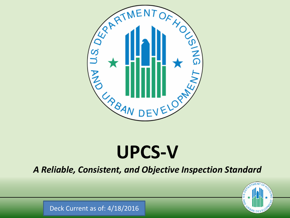

# **UPCS-V**

*A Reliable, Consistent, and Objective Inspection Standard*



Deck Current as of: 4/18/2016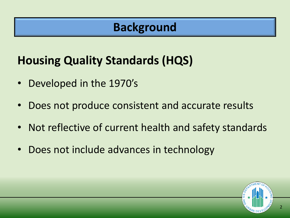#### **Background**

## **Housing Quality Standards (HQS)**

- Developed in the 1970's
- Does not produce consistent and accurate results
- Not reflective of current health and safety standards
- Does not include advances in technology

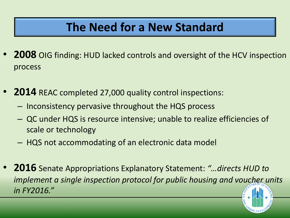#### **The Need for a New Standard**

- **2008** OIG finding: HUD lacked controls and oversight of the HCV inspection process
- **2014** REAC completed 27,000 quality control inspections:
	- Inconsistency pervasive throughout the HQS process
	- QC under HQS is resource intensive; unable to realize efficiencies of scale or technology
	- HQS not accommodating of an electronic data model
- **2016** Senate Appropriations Explanatory Statement: *"…directs HUD to implement a single inspection protocol for public housing and voucher units in FY2016."*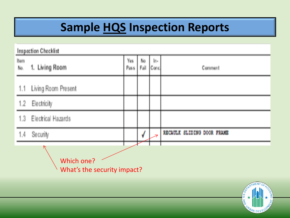# **Sample HQS Inspection Reports**

| <b>Inspection Checklist</b>               |                     |             |            |             |                            |  |  |  |  |
|-------------------------------------------|---------------------|-------------|------------|-------------|----------------------------|--|--|--|--|
| Item<br>No.                               | 1. Living Room      | Yes<br>Pass | Ŋο<br>Fail | ln-<br>Conc | Comment                    |  |  |  |  |
| 1.1                                       | Living Room Present |             |            |             |                            |  |  |  |  |
| 1.2                                       | Electricity         |             |            |             |                            |  |  |  |  |
| 1.3                                       | Electrical Hazards  |             |            |             |                            |  |  |  |  |
| 1,4                                       | Security            |             |            |             | RECAULT SLIDING DOOR FRAME |  |  |  |  |
| Which one?<br>What's the security impact? |                     |             |            |             |                            |  |  |  |  |
|                                           |                     |             |            |             | ASPATMENT<br>TOFHOUS       |  |  |  |  |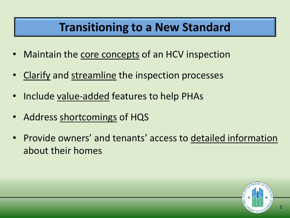#### **Transitioning to a New Standard**

- Maintain the core concepts of an HCV inspection
- Clarify and streamline the inspection processes
- Include value-added features to help PHAs
- Address shortcomings of HQS
- Provide owners' and tenants' access to detailed information about their homes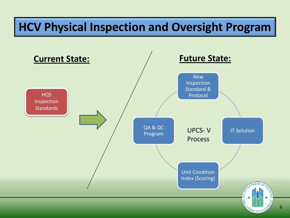## **HCV Physical Inspection and Oversight Program**

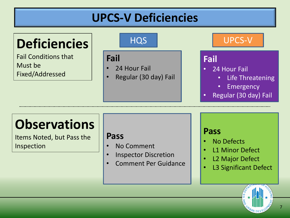## **UPCS-V Deficiencies**

# **Deficiencies**

Fail Conditions that Must be Fixed/Addressed

#### **Fail**

- 24 Hour Fail
- Regular (30 day) Fail

#### HQS UPCS-V

#### **Fail**

- 24 Hour Fail
	- Life Threatening
	- Emergency
- Regular (30 day) Fail

# **Observations**

Items Noted, but Pass the Inspection

#### **Pass**

- No Comment
- Inspector Discretion
- Comment Per Guidance

#### **Pass**

- No Defects
- L1 Minor Defect
- L2 Major Defect
- L3 Significant Defect



7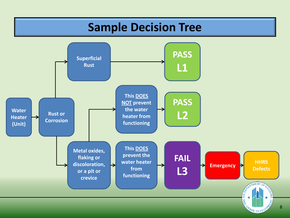#### **Sample Decision Tree**

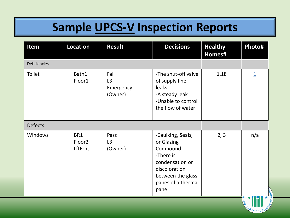# **Sample UPCS-V Inspection Reports**

| Item                | Location                             | <b>Result</b>                                  | <b>Decisions</b>                                                                                                                                | <b>Healthy</b><br>Homes# | Photo#                  |  |  |
|---------------------|--------------------------------------|------------------------------------------------|-------------------------------------------------------------------------------------------------------------------------------------------------|--------------------------|-------------------------|--|--|
| <b>Deficiencies</b> |                                      |                                                |                                                                                                                                                 |                          |                         |  |  |
| <b>Toilet</b>       | Bath1<br>Floor1                      | Fail<br>L <sub>3</sub><br>Emergency<br>(Owner) | -The shut-off valve<br>of supply line<br>leaks<br>-A steady leak<br>-Unable to control<br>the flow of water                                     | 1,18                     | $\overline{\mathbf{1}}$ |  |  |
| <b>Defects</b>      |                                      |                                                |                                                                                                                                                 |                          |                         |  |  |
| Windows             | BR1<br>Floor <sub>2</sub><br>LftFrnt | Pass<br>L3<br>(Owner)                          | -Caulking, Seals,<br>or Glazing<br>Compound<br>-There is<br>condensation or<br>discoloration<br>between the glass<br>panes of a thermal<br>pane | 2, 3                     | n/a                     |  |  |
|                     |                                      |                                                |                                                                                                                                                 |                          |                         |  |  |

BAN DEVE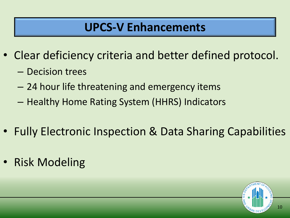#### **UPCS-V Enhancements**

- Clear deficiency criteria and better defined protocol.
	- Decision trees
	- 24 hour life threatening and emergency items
	- Healthy Home Rating System (HHRS) Indicators
- Fully Electronic Inspection & Data Sharing Capabilities
- Risk Modeling

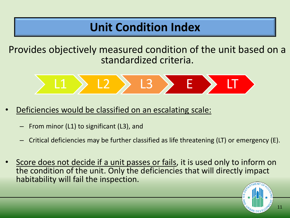## **Unit Condition Index**

Provides objectively measured condition of the unit based on a standardized criteria.



- Deficiencies would be classified on an escalating scale:
	- From minor (L1) to significant (L3), and
	- Critical deficiencies may be further classified as life threatening (LT) or emergency (E).
- Score does not decide if a unit passes or fails, it is used only to inform on the condition of the unit. Only the deficiencies that will directly impact habitability will fail the inspection.

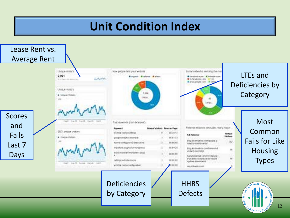## **Unit Condition Index**

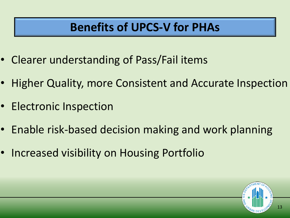## **Benefits of UPCS-V for PHAs**

- Clearer understanding of Pass/Fail items
- Higher Quality, more Consistent and Accurate Inspection
- Electronic Inspection
- Enable risk-based decision making and work planning
- Increased visibility on Housing Portfolio

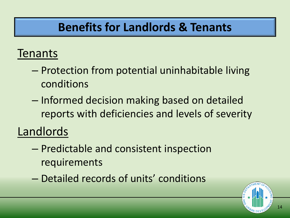#### **Benefits for Landlords & Tenants**

#### Tenants

- Protection from potential uninhabitable living conditions
- Informed decision making based on detailed reports with deficiencies and levels of severity

Landlords

- Predictable and consistent inspection requirements
- Detailed records of units' conditions

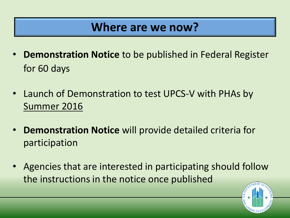#### **Where are we now?**

- **Demonstration Notice** to be published in Federal Register for 60 days
- Launch of Demonstration to test UPCS-V with PHAs by Summer 2016
- **Demonstration Notice** will provide detailed criteria for participation
- Agencies that are interested in participating should follow the instructions in the notice once published

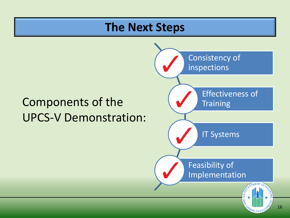#### **The Next Steps**